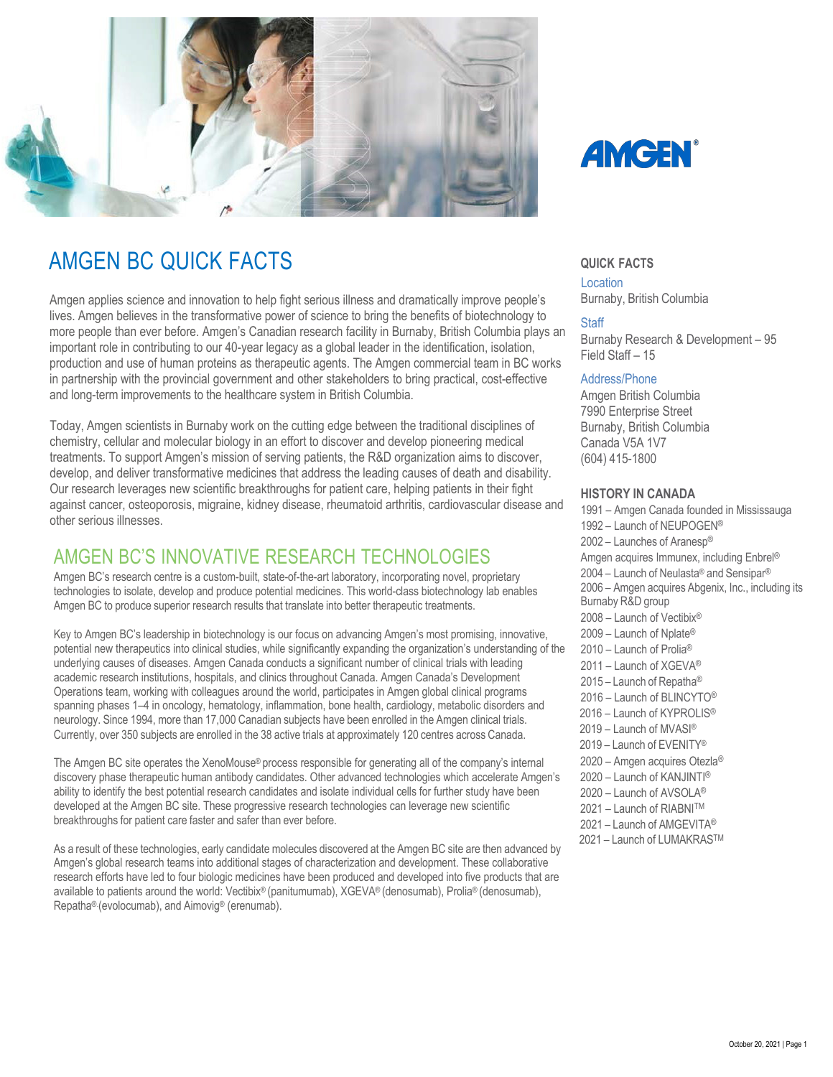

# **AMGEN BC QUICK FACTS**  $\qquad \qquad \text{Quick FACTS}$

Amgen applies science and innovation to help fight serious illness and dramatically improve people's lives. Amgen believes in the transformative power of science to bring the benefits of biotechnology to more people than ever before. Amgen's Canadian research facility in Burnaby, British Columbia plays an important role in contributing to our 40-year legacy as a global leader in the identification, isolation, production and use of human proteins as therapeutic agents. The Amgen commercial team in BC works in partnership with the provincial government and other stakeholders to bring practical, cost-effective and long-term improvements to the healthcare system in British Columbia.

Today, Amgen scientists in Burnaby work on the cutting edge between the traditional disciplines of chemistry, cellular and molecular biology in an effort to discover and develop pioneering medical treatments. To support Amgen's mission of serving patients, the R&D organization aims to discover, develop, and deliver transformative medicines that address the leading causes of death and disability. Our research leverages new scientific breakthroughs for patient care, helping patients in their fight against cancer, osteoporosis, migraine, kidney disease, rheumatoid arthritis, cardiovascular disease and other serious illnesses.

## AMGEN BC'S INNOVATIVE RESEARCH TECHNOLOGIES

Amgen BC's research centre is a custom-built, state-of-the-art laboratory, incorporating novel, proprietary technologies to isolate, develop and produce potential medicines. This world-class biotechnology lab enables Amgen BC to produce superior research results that translate into better therapeutic treatments.

Key to Amgen BC's leadership in biotechnology is our focus on advancing Amgen's most promising, innovative, potential new therapeutics into clinical studies, while significantly expanding the organization's understanding of the underlying causes of diseases. Amgen Canada conducts a significant number of clinical trials with leading academic research institutions, hospitals, and clinics throughout Canada. Amgen Canada's Development Operations team, working with colleagues around the world, participates in Amgen global clinical programs spanning phases 1–4 in oncology, hematology, inflammation, bone health, cardiology, metabolic disorders and neurology. Since 1994, more than 17,000 Canadian subjects have been enrolled in the Amgen clinical trials. Currently, over 350 subjects are enrolled in the 38 active trials at approximately 120 centres across Canada.

The Amgen BC site operates the XenoMouse® process responsible for generating all of the company's internal discovery phase therapeutic human antibody candidates. Other advanced technologies which accelerate Amgen's ability to identify the best potential research candidates and isolate individual cells for further study have been developed at the Amgen BC site. These progressive research technologies can leverage new scientific breakthroughs for patient care faster and safer than ever before.

As a result of these technologies, early candidate molecules discovered at the Amgen BC site are then advanced by Amgen's global research teams into additional stages of characterization and development. These collaborative research efforts have led to four biologic medicines have been produced and developed into five products that are available to patients around the world: Vectibix® (panitumumab), XGEVA® (denosumab), Prolia® (denosumab), Repatha®.(evolocumab), and Aimovig® (erenumab).



Location Burnaby, British Columbia

#### **Staff**

Burnaby Research & Development – 95 Field Staff – 15

#### Address/Phone

Amgen British Columbia 7990 Enterprise Street Burnaby, British Columbia Canada V5A 1V7 (604) 415-1800

### **HISTORY IN CANADA**

1991 – Amgen Canada founded in Mississauga 1992 – Launch of NEUPOGEN® 2002 – Launches of Aranesp® Amgen acquires Immunex, including Enbrel® 2004 – Launch of Neulasta® and Sensipar® 2006 – Amgen acquires Abgenix, Inc., including its Burnaby R&D group 2008 – Launch of Vectibix® 2009 – Launch of Nplate® 2010 – Launch of Prolia® 2011 – Launch of XGFVA® 2015 – Launch of Repatha® 2016 – Launch of BLINCYTO® 2016 – Launch of KYPROLIS® 2019 – Launch of MVASI® 2019 – Launch of EVENITY® 2020 – Amgen acquires Otezla® 2020 – Launch of KANJINTI® 2020 – Launch of AVSOLA® 2021 – Launch of RIABNITM 2021 – Launch of AMGEVITA® 2021 – Launch of LUMAKRASTM